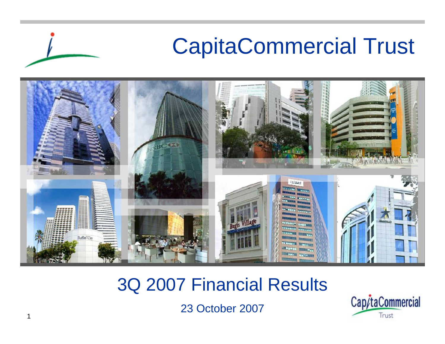

### 3Q 2007 Financial Results

23 October 2007

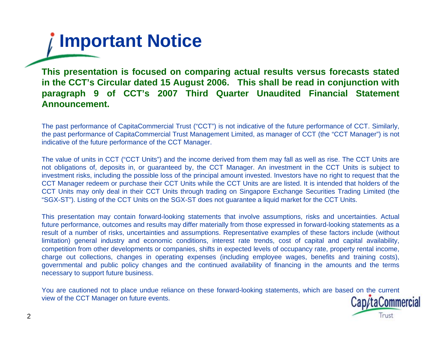

**This presentation is focused on comparing actual results versus forecasts stated in the CCT's Circular dated 15 August 2006. This shall be read in conjunction with paragraph 9 of CCT's 2007 Third Quarter Unaudited Financial Statement Announcement.**

The past performance of CapitaCommercial Trust ("CCT") is not indicative of the future performance of CCT. Similarly, the past performance of CapitaCommercial Trust Management Limited, as manager of CCT (the "CCT Manager") is not indicative of the future performance of the CCT Manager.

The value of units in CCT ("CCT Units") and the income derived from them may fall as well as rise. The CCT Units are not obligations of, deposits in, or guaranteed by, the CCT Manager. An investment in the CCT Units is subject to investment risks, including the possible loss of the principal amount invested. Investors have no right to request that the CCT Manager redeem or purchase their CCT Units while the CCT Units are are listed. It is intended that holders of the CCT Units may only deal in their CCT Units through trading on Singapore Exchange Securities Trading Limited (the "SGX-ST"). Listing of the CCT Units on the SGX-ST does not guarantee a liquid market for the CCT Units.

This presentation may contain forward-looking statements that involve assumptions, risks and uncertainties. Actual future performance, outcomes and results may differ materially from those expressed in forward-looking statements as a result of a number of risks, uncertainties and assumptions. Representative examples of these factors include (without limitation) general industry and economic conditions, interest rate trends, cost of capital and capital availability, competition from other developments or companies, shifts in expected levels of occupancy rate, property rental income, charge out collections, changes in operating expenses (including employee wages, benefits and training costs), governmental and public policy changes and the continued availability of financing in the amounts and the terms necessary to support future business.

You are cautioned not to place undue reliance on these forward-looking statements, which are based on the current view of the CCT Manager on future events. Cap/taCommercial

Trust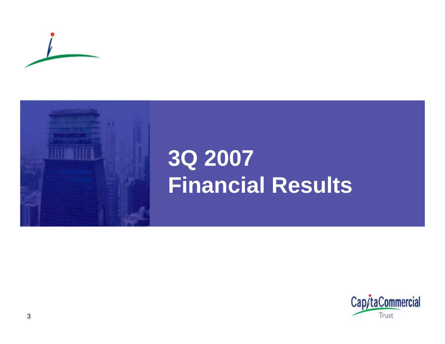



## **3Q 2007 Financial Results**

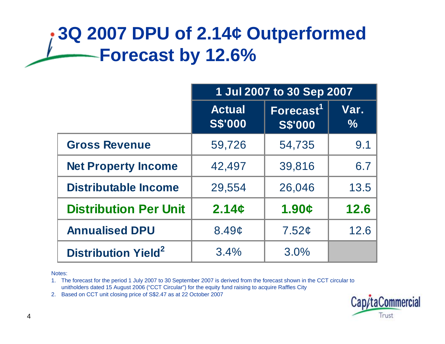## **3Q 2007 DPU of 2.14¢ Outperformed Forecast by 12.6%**

|                                       | 1 Jul 2007 to 30 Sep 2007       |                                |                       |  |
|---------------------------------------|---------------------------------|--------------------------------|-----------------------|--|
|                                       | <b>Actual</b><br><b>S\$'000</b> | Forecast $1$<br><b>S\$'000</b> | Var.<br>$\frac{9}{6}$ |  |
| <b>Gross Revenue</b>                  | 59,726                          | 54,735                         | 9.1                   |  |
| <b>Net Property Income</b>            | 42,497                          | 39,816                         | 6.7                   |  |
| <b>Distributable Income</b>           | 29,554                          | 26,046                         | 13.5                  |  |
| <b>Distribution Per Unit</b>          | 2.14c                           | 1.90c                          | 12.6                  |  |
| <b>Annualised DPU</b>                 | 8.49c                           | 7.52¢                          | 12.6                  |  |
| <b>Distribution Yield<sup>2</sup></b> | 3.4%                            | 3.0%                           |                       |  |

Notes:

1. The forecast for the period 1 July 2007 to 30 September 2007 is derived from the forecast shown in the CCT circular to unitholders dated 15 August 2006 ("CCT Circular") for the equity fund raising to acquire Raffles City

2. Based on CCT unit closing price of S\$2.47 as at 22 October 2007

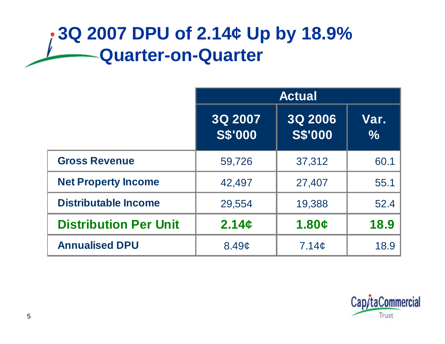## **3Q 2007 DPU of 2.14¢ Up by 18.9% Quarter-on-Quarter**

|                              | <b>Actual</b>             |                           |                       |  |  |
|------------------------------|---------------------------|---------------------------|-----------------------|--|--|
|                              | 3Q 2007<br><b>S\$'000</b> | 3Q 2006<br><b>S\$'000</b> | Var.<br>$\frac{1}{2}$ |  |  |
| <b>Gross Revenue</b>         | 59,726                    | 37,312                    | 60.1                  |  |  |
| <b>Net Property Income</b>   | 42,497                    | 27,407                    | 55.1                  |  |  |
| <b>Distributable Income</b>  | 29,554                    | 19,388                    | 52.4                  |  |  |
| <b>Distribution Per Unit</b> | 2.14c                     | 1.80c                     | 18.9                  |  |  |
| <b>Annualised DPU</b>        | 8.49c                     | 7.14 <sub>c</sub>         | 18.9                  |  |  |

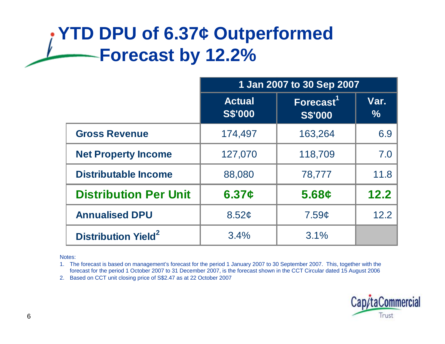## **YTD DPU of 6.37¢ Outperformed Forecast by 12.2%**

|                                       | 1 Jan 2007 to 30 Sep 2007       |                                         |                       |  |  |
|---------------------------------------|---------------------------------|-----------------------------------------|-----------------------|--|--|
|                                       | <b>Actual</b><br><b>S\$'000</b> | Forecast <sup>1</sup><br><b>S\$'000</b> | Var.<br>$\frac{9}{6}$ |  |  |
| <b>Gross Revenue</b>                  | 174,497                         | 163,264                                 | 6.9                   |  |  |
| <b>Net Property Income</b>            | 127,070                         | 118,709                                 | 7.0                   |  |  |
| <b>Distributable Income</b>           | 88,080                          | 78,777                                  | 11.8                  |  |  |
| <b>Distribution Per Unit</b>          | 6.37c                           | 5.68c                                   | 12.2                  |  |  |
| <b>Annualised DPU</b>                 | 8.52 <sub>c</sub>               | 7.59c                                   | 12.2                  |  |  |
| <b>Distribution Yield<sup>2</sup></b> | 3.4%                            | 3.1%                                    |                       |  |  |

Notes:

1. The forecast is based on management's forecast for the period 1 January 2007 to 30 September 2007. This, together with the forecast for the period 1 October 2007 to 31 December 2007, is the forecast shown in the CCT Circular dated 15 August 2006

2. Based on CCT unit closing price of S\$2.47 as at 22 October 2007

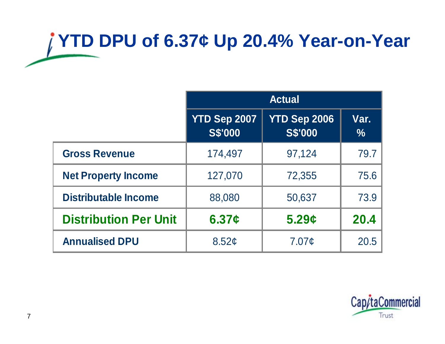# **YTD DPU of 6.37¢ Up 20.4% Year-on-Year**

|                              | <b>Actual</b>                  |                                |                       |  |  |
|------------------------------|--------------------------------|--------------------------------|-----------------------|--|--|
|                              | YTD Sep 2007<br><b>S\$'000</b> | YTD Sep 2006<br><b>S\$'000</b> | Var.<br>$\frac{0}{0}$ |  |  |
| <b>Gross Revenue</b>         | 174,497                        | 97,124                         | 79.7                  |  |  |
| <b>Net Property Income</b>   | 127,070                        | 72,355                         | 75.6                  |  |  |
| <b>Distributable Income</b>  | 88,080                         | 50,637                         | 73.9                  |  |  |
| <b>Distribution Per Unit</b> | 6.37c                          | 5.29c                          | 20.4                  |  |  |
| <b>Annualised DPU</b>        | 8.52 <sub>c</sub>              | 7.07 <sub>¢</sub>              | 20.5                  |  |  |

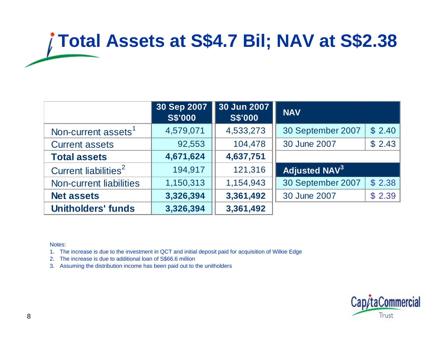# **Total Assets at S\$4.7 Bil; NAV at S\$2.38**

|                                  | 30 Sep 2007<br><b>S\$'000</b> | 30 Jun 2007<br><b>S\$'000</b> | <b>NAV</b>                      |        |
|----------------------------------|-------------------------------|-------------------------------|---------------------------------|--------|
| Non-current assets <sup>1</sup>  | 4,579,071                     | 4,533,273                     | 30 September 2007               | \$2.40 |
| <b>Current assets</b>            | 92,553                        | 104,478                       | 30 June 2007                    | \$2.43 |
| <b>Total assets</b>              | 4,671,624                     | 4,637,751                     |                                 |        |
| Current liabilities <sup>2</sup> | 194,917                       | 121,316                       | <b>Adjusted NAV<sup>3</sup></b> |        |
| <b>Non-current liabilities</b>   | 1,150,313                     | 1,154,943                     | 30 September 2007               | \$2.38 |
| <b>Net assets</b>                | 3,326,394                     | 3,361,492                     | 30 June 2007                    | \$2.39 |
| <b>Unitholders' funds</b>        | 3,326,394                     | 3,361,492                     |                                 |        |

Notes:

1. The increase is due to the investment in QCT and initial deposit paid for acquisition of Wilkie Edge

- 2. The increase is due to additional loan of S\$66.6 million
- 3. Assuming the distribution income has been paid out to the unitholders

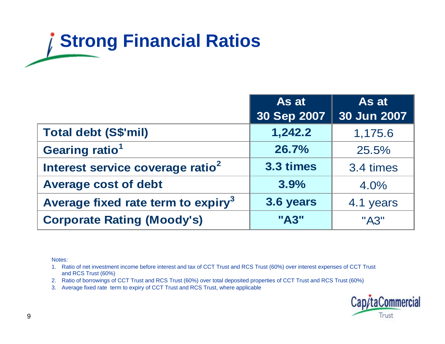# **Strong Financial Ratios**

|                                                | As at       | As at       |
|------------------------------------------------|-------------|-------------|
|                                                | 30 Sep 2007 | 30 Jun 2007 |
| <b>Total debt (S\$'mil)</b>                    | 1,242.2     | 1,175.6     |
| Gearing ratio <sup>1</sup>                     | 26.7%       | 25.5%       |
| Interest service coverage ratio <sup>2</sup>   | 3.3 times   | 3.4 times   |
| <b>Average cost of debt</b>                    | 3.9%        | 4.0%        |
| Average fixed rate term to expiry <sup>3</sup> | 3.6 years   | 4.1 years   |
| <b>Corporate Rating (Moody's)</b>              | "A3"        | "A3"        |

Notes:

1. Ratio of net investment income before interest and tax of CCT Trust and RCS Trust (60%) over interest expenses of CCT Trust and RCS Trust (60%)

- 2. Ratio of borrowings of CCT Trust and RCS Trust (60%) over total deposited properties of CCT Trust and RCS Trust (60%)
- 3. Average fixed rate term to expiry of CCT Trust and RCS Trust, where applicable

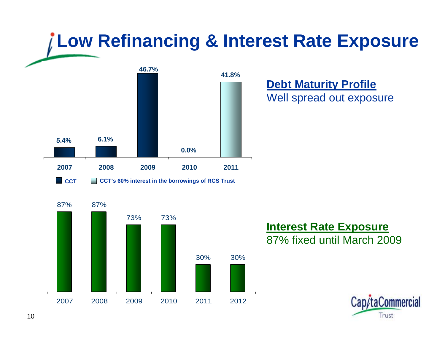## **Low Refinancing & Interest Rate Exposure 46.7%**



**Debt Maturity Profile** Well spread out exposure



### **Interest Rate Exposure** 87% fixed until March 2009

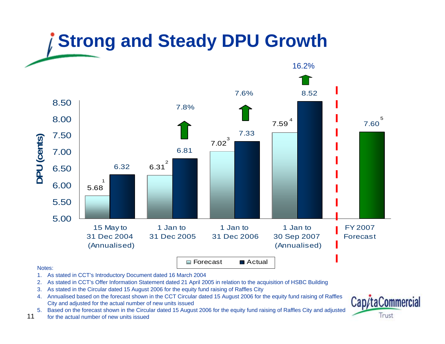## **Strong and Steady DPU Growth**



#### Notes:

- 1. As stated in CCT's Introductory Document dated 16 March 2004
- 2. As stated in CCT's Offer Information Statement dated 21 April 2005 in relation to the acquisition of HSBC Building
- 3. As stated in the Circular dated 15 August 2006 for the equity fund raising of Raffles City
- 4. Annualised based on the forecast shown in the CCT Circular dated 15 August 2006 for the equity fund raising of Raffles City and adjusted for the actual number of new units issued
- 5. Based on the forecast shown in the Circular dated 15 August 2006 for the equity fund raising of Raffles City and adjusted
- 11for the actual number of new units issued

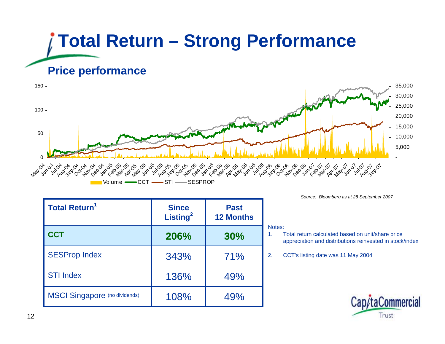## **Total Return – Strong Performance Price performance**



| <b>Total Return<sup>1</sup></b>      | <b>Since</b><br>Listing <sup>2</sup> | <b>Past</b><br><b>12 Months</b> |
|--------------------------------------|--------------------------------------|---------------------------------|
| <b>CCT</b>                           | 206%                                 | 30%                             |
| <b>SESProp Index</b>                 | 343%                                 | 71%                             |
| <b>STI Index</b>                     | 136%                                 | 49%                             |
| <b>MSCI Singapore</b> (no dividends) | 108%                                 | 49%                             |

*Source: Bloomberg as at 28 September 2007*

#### Notes:

- 1. Total return calculated based on unit/share price appreciation and distributions reinvested in stock/index
- 2. CCT's listing date was 11 May 2004

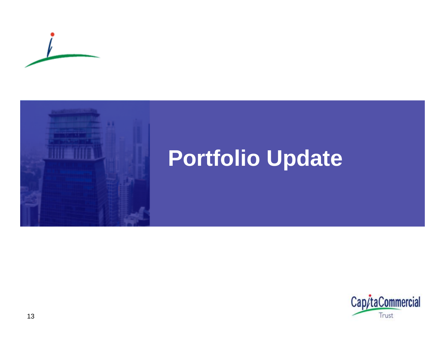



## **Portfolio Update**

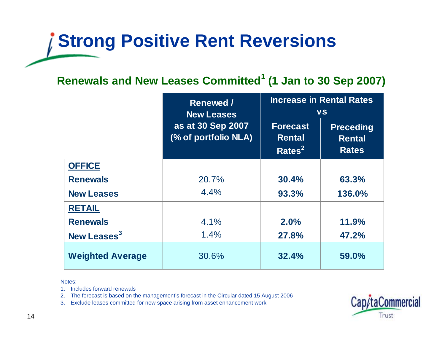## **Strong Positive Rent Reversions**

### **Renewals and New Leases Committed<sup>1</sup> (1 Jan to 30 Sep 2007)**

|                         | <b>Renewed /</b><br><b>New Leases</b>     | <b>Increase in Rental Rates</b><br><b>VS</b>           |                                                   |  |
|-------------------------|-------------------------------------------|--------------------------------------------------------|---------------------------------------------------|--|
|                         | as at 30 Sep 2007<br>(% of portfolio NLA) | <b>Forecast</b><br><b>Rental</b><br>Rates <sup>2</sup> | <b>Preceding</b><br><b>Rental</b><br><b>Rates</b> |  |
| <b>OFFICE</b>           |                                           |                                                        |                                                   |  |
| <b>Renewals</b>         | 20.7%                                     | <b>30.4%</b>                                           | 63.3%                                             |  |
| <b>New Leases</b>       | 4.4%                                      | 93.3%                                                  | 136.0%                                            |  |
| <b>RETAIL</b>           |                                           |                                                        |                                                   |  |
| <b>Renewals</b>         | $4.1\%$                                   | 2.0%                                                   | 11.9%                                             |  |
| New Leases <sup>3</sup> | 1.4%                                      | 27.8%                                                  | 47.2%                                             |  |
| <b>Weighted Average</b> | 30.6%                                     | 32.4%                                                  | 59.0%                                             |  |

Notes:

1. Includes forward renewals

2. The forecast is based on the management's forecast in the Circular dated 15 August 2006

3. Exclude leases committed for new space arising from asset enhancement work

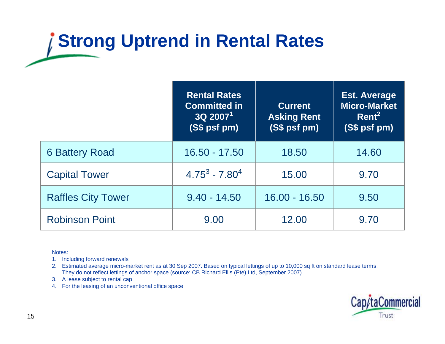## **Strong Uptrend in Rental Rates**

|                           | <b>Rental Rates</b><br><b>Committed in</b><br>$3Q$ 2007 <sup>1</sup><br>(S\$ psf pm) | <b>Current</b><br><b>Asking Rent</b><br>(S\$ psf pm) | <b>Est. Average</b><br><b>Micro-Market</b><br>Rent <sup>2</sup><br>(S\$ psf pm) |
|---------------------------|--------------------------------------------------------------------------------------|------------------------------------------------------|---------------------------------------------------------------------------------|
| <b>6 Battery Road</b>     | $16.50 - 17.50$                                                                      | 18.50                                                | 14.60                                                                           |
| <b>Capital Tower</b>      | $4.75^3 - 7.80^4$                                                                    | 15.00                                                | 9.70                                                                            |
| <b>Raffles City Tower</b> | $9.40 - 14.50$                                                                       | $16.00 - 16.50$                                      | 9.50                                                                            |
| <b>Robinson Point</b>     | 9.00                                                                                 | 12.00                                                | 9.70                                                                            |

Notes:

- 1. Including forward renewals
- 2. Estimated average micro-market rent as at 30 Sep 2007. Based on typical lettings of up to 10,000 sq ft on standard lease terms. They do not reflect lettings of anchor space (source: CB Richard Ellis (Pte) Ltd, September 2007)
- 3. A lease subject to rental cap
- 4. For the leasing of an unconventional office space

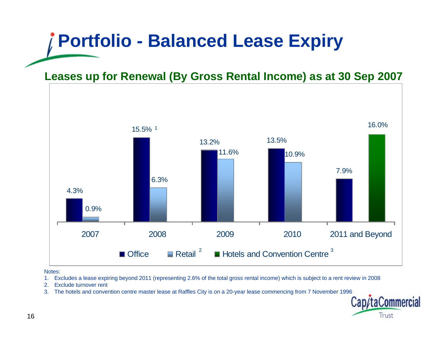## **Portfolio - Balanced Lease Expiry**

**Leases up for Renewal (By Gross Rental Income) as at 30 Sep 2007**



Notes:

- 1. Excludes a lease expiring beyond 2011 (representing 2.6% of the total gross rental income) which is subject to a rent review in 2008
- 2. Exclude turnover rent
- 3. The hotels and convention centre master lease at Raffles City is on a 20-year lease commencing from 7 November 1996

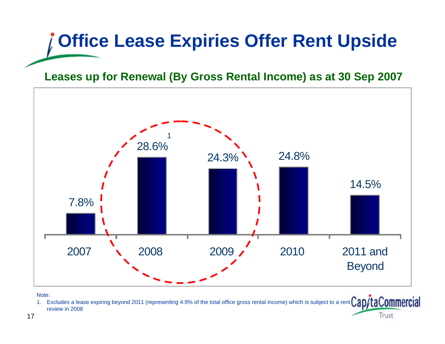# **Office Lease Expiries Offer Rent Upside**

### **Leases up for Renewal (By Gross Rental Income) as at 30 Sep 2007**



Note:

1. Excludes a lease expiring beyond 2011 (representing 4.9% of the total office gross rental income) which is subject to a rent review in 2008Trust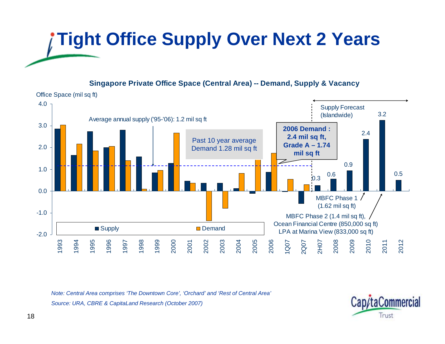# **Tight Office Supply Over Next 2 Years**

### **Singapore Private Office Space (Central Area) -- Demand, Supply & Vacancy**



*Note: Central Area comprises 'The Downtown Core', 'Orchard' and 'Rest of Central Area' Source: URA, CBRE & CapitaLand Research (October 2007)*

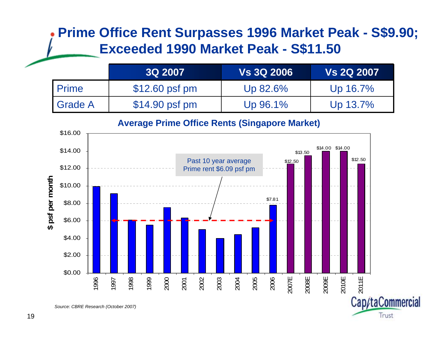### **Prime Office Rent Surpasses 1996 Market Peak - S\$9.90; Exceeded 1990 Market Peak - S\$11.50**

|           | <b>3Q 2007</b>  | <b>Vs 3Q 2006</b> | <b>Vs 2Q 2007</b> |
|-----------|-----------------|-------------------|-------------------|
| I Prime   | $$12.60$ psf pm | Up 82.6%          | Up 16.7%          |
| I Grade A | $$14.90$ psf pm | Up 96.1%          | Up 13.7%          |



Trust

### **Average Prime Office Rents (Singapore Market)**

*Source: CBRE Research (October 2007)*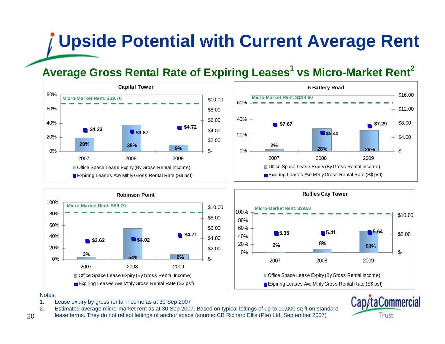## **Upside Potential with Current Average Rent**

### **Average Gross Rental Rate of Expiring Leases<sup>1</sup> vs Micro-Market Rent<sup>2</sup>**









Notes:

20

- 1. Lease expiry by gross rental income as at 30 Sep 2007
- 2. Estimated average micro-market rent as at 30 Sep 2007. Based on typical lettings of up to 10,000 sq ft on standard
- lease terms. They do not reflect lettings of anchor space (source: CB Richard Ellis (Pte) Ltd, September 2007)

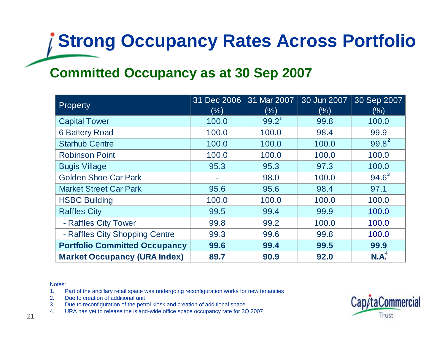# **Strong Occupancy Rates Across Portfolio**

### **Committed Occupancy as at 30 Sep 2007**

| Property                             | 31 Dec 2006<br>(% ) | 31 Mar 2007<br>(%) | 30 Jun 2007<br>(% ) | 30 Sep 2007<br>(% ) |
|--------------------------------------|---------------------|--------------------|---------------------|---------------------|
| <b>Capital Tower</b>                 | 100.0               | $99.2^1$           | 99.8                | 100.0               |
| <b>6 Battery Road</b>                | 100.0               | 100.0              | 98.4                | 99.9                |
| <b>Starhub Centre</b>                | 100.0               | 100.0              | 100.0               | $99.8^{2}$          |
| <b>Robinson Point</b>                | 100.0               | 100.0              | 100.0               | 100.0               |
| <b>Bugis Village</b>                 | 95.3                | 95.3               | 97.3                | 100.0               |
| <b>Golden Shoe Car Park</b>          |                     | 98.0               | 100.0               | $94.6^3$            |
| <b>Market Street Car Park</b>        | 95.6                | 95.6               | 98.4                | 97.1                |
| <b>HSBC Building</b>                 | 100.0               | 100.0              | 100.0               | 100.0               |
| <b>Raffles City</b>                  | 99.5                | 99.4               | 99.9                | 100.0               |
| - Raffles City Tower                 | 99.8                | 99.2               | 100.0               | 100.0               |
| - Raffles City Shopping Centre       | 99.3                | 99.6               | 99.8                | 100.0               |
| <b>Portfolio Committed Occupancy</b> | 99.6                | 99.4               | 99.5                | 99.9                |
| <b>Market Occupancy (URA Index)</b>  | 89.7                | 90.9               | 92.0                | $N.A^4$             |

#### Notes:

- 1. Part of the ancillary retail space was undergoing reconfiguration works for new tenancies
- 2. Due to creation of additional unit
- 3. Due to reconfiguration of the petrol kiosk and creation of additional space
- 4. URA has yet to release the island-wide office space occupancy rate for 3Q 2007

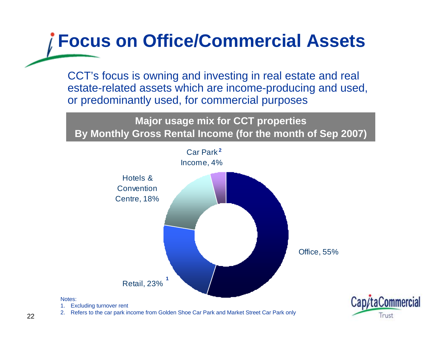## **Focus on Office/Commercial Assets**

CCT's focus is owning and investing in real estate and real estate-related assets which are income-producing and used, or predominantly used, for commercial purposes

**Major usage mix for CCT properties By Monthly Gross Rental Income (for the month of Sep 2007)**



Trust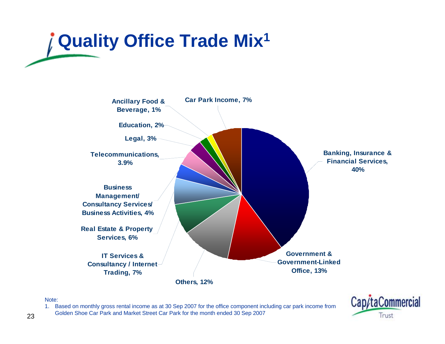# **Quality Office Trade Mix1**



### Note:

1. Based on monthly gross rental income as at 30 Sep 2007 for the office component including car park income from Golden Shoe Car Park and Market Street Car Park for the month ended 30 Sep 2007

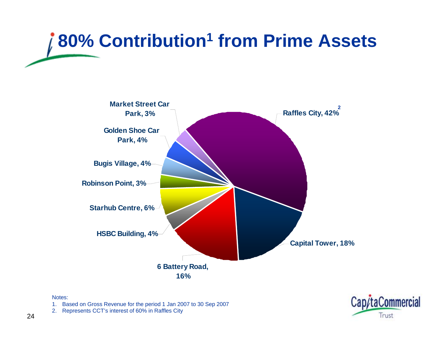# **80% Contribution1 from Prime Assets**



#### Notes:

1. Based on Gross Revenue for the period 1 Jan 2007 to 30 Sep 2007



2. Represents CCT's interest of 60% in Raffles City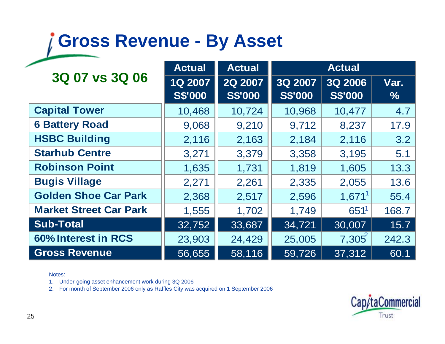## **Gross Revenue - By Asset**

|                               | <b>Actual</b>             | <b>Actual</b>             |                           | <b>Actual</b>             |              |  |
|-------------------------------|---------------------------|---------------------------|---------------------------|---------------------------|--------------|--|
| 3Q 07 vs 3Q 06                | 1Q 2007<br><b>S\$'000</b> | 2Q 2007<br><b>S\$'000</b> | 3Q 2007<br><b>S\$'000</b> | 3Q 2006<br><b>S\$'000</b> | Var.<br>$\%$ |  |
| <b>Capital Tower</b>          | 10,468                    | 10,724                    | 10,968                    | 10,477                    | 4.7          |  |
| <b>6 Battery Road</b>         | 9,068                     | 9,210                     | 9,712                     | 8,237                     | 17.9         |  |
| <b>HSBC Building</b>          | 2,116                     | 2,163                     | 2,184                     | 2,116                     | 3.2          |  |
| <b>Starhub Centre</b>         | 3,271                     | 3,379                     | 3,358                     | 3,195                     | 5.1          |  |
| <b>Robinson Point</b>         | 1,635                     | 1,731                     | 1,819                     | 1,605                     | 13.3         |  |
| <b>Bugis Village</b>          | 2,271                     | 2,261                     | 2,335                     | 2,055                     | 13.6         |  |
| <b>Golden Shoe Car Park</b>   | 2,368                     | 2,517                     | 2,596                     | $1,671^1$                 | 55.4         |  |
| <b>Market Street Car Park</b> | 1,555                     | 1,702                     | 1,749                     | 651 <sup>1</sup>          | 168.7        |  |
| <b>Sub-Total</b>              | 32,752                    | 33,687                    | 34,721                    | 30,007                    | 15.7         |  |
| 60% Interest in RCS           | 23,903                    | 24,429                    | 25,005                    | 7,305                     | 242.3        |  |
| <b>Gross Revenue</b>          | 56,655                    | 58,116                    | 59,726                    | 37,312                    | 60.1         |  |

### Notes:

1. Under-going asset enhancement work during 3Q 2006

2. For month of September 2006 only as Raffles City was acquired on 1 September 2006

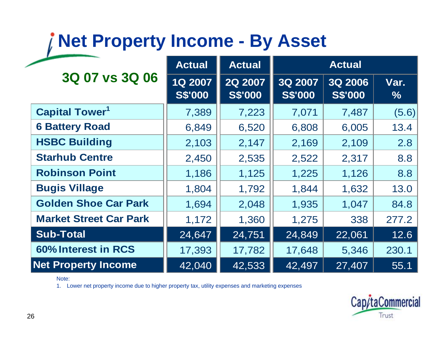## **Net Property Income - By Asset**

| 3Q 07 vs 3Q 06                   | <b>Actual</b>             | <b>Actual</b>             | <b>Actual</b>             |                                  |              |
|----------------------------------|---------------------------|---------------------------|---------------------------|----------------------------------|--------------|
|                                  | 1Q 2007<br><b>S\$'000</b> | 2Q 2007<br><b>S\$'000</b> | 3Q 2007<br><b>S\$'000</b> | <b>3Q 2006</b><br><b>S\$'000</b> | Var.<br>$\%$ |
| <b>Capital Tower<sup>1</sup></b> | 7,389                     | 7,223                     | 7,071                     | 7,487                            | (5.6)        |
| <b>6 Battery Road</b>            | 6,849                     | 6,520                     | 6,808                     | 6,005                            | 13.4         |
| <b>HSBC Building</b>             | 2,103                     | 2,147                     | 2,169                     | 2,109                            | 2.8          |
| <b>Starhub Centre</b>            | 2,450                     | 2,535                     | 2,522                     | 2,317                            | 8.8          |
| <b>Robinson Point</b>            | 1,186                     | 1,125                     | 1,225                     | 1,126                            | 8.8          |
| <b>Bugis Village</b>             | 1,804                     | 1,792                     | 1,844                     | 1,632                            | 13.0         |
| <b>Golden Shoe Car Park</b>      | 1,694                     | 2,048                     | 1,935                     | 1,047                            | 84.8         |
| <b>Market Street Car Park</b>    | 1,172                     | 1,360                     | 1,275                     | 338                              | 277.2        |
| <b>Sub-Total</b>                 | 24,647                    | 24,751                    | 24,849                    | 22,061                           | 12.6         |
| 60% Interest in RCS              | 17,393                    | 17,782                    | 17,648                    | 5,346                            | 230.1        |
| <b>Net Property Income</b>       | 42,040                    | 42,533                    | 42,497                    | 27,407                           | 55.1         |

### Note:

1. Lower net property income due to higher property tax, utility expenses and marketing expenses

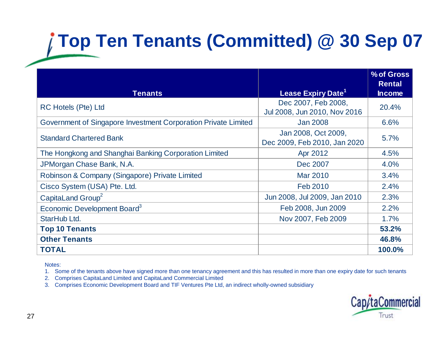## **Top Ten Tenants (Committed) @ 30 Sep 07**

| <b>Tenants</b>                                                 | Lease Expiry Date <sup>1</sup> | % of Gross<br><b>Rental</b><br><b>Income</b> |  |
|----------------------------------------------------------------|--------------------------------|----------------------------------------------|--|
|                                                                |                                |                                              |  |
| <b>RC Hotels (Pte) Ltd</b>                                     | Dec 2007, Feb 2008,            | 20.4%                                        |  |
|                                                                | Jul 2008, Jun 2010, Nov 2016   |                                              |  |
| Government of Singapore Investment Corporation Private Limited | <b>Jan 2008</b>                | 6.6%                                         |  |
|                                                                | Jan 2008, Oct 2009,            | 5.7%                                         |  |
| <b>Standard Chartered Bank</b>                                 | Dec 2009, Feb 2010, Jan 2020   |                                              |  |
| The Hongkong and Shanghai Banking Corporation Limited          | Apr 2012                       | 4.5%                                         |  |
| JPMorgan Chase Bank, N.A.                                      | Dec 2007                       | 4.0%                                         |  |
| Robinson & Company (Singapore) Private Limited                 | Mar 2010                       | 3.4%                                         |  |
| Cisco System (USA) Pte. Ltd.                                   | Feb 2010                       | 2.4%                                         |  |
| CapitaLand Group <sup>2</sup>                                  | Jun 2008, Jul 2009, Jan 2010   | 2.3%                                         |  |
| Economic Development Board <sup>3</sup>                        | Feb 2008, Jun 2009             | 2.2%                                         |  |
| StarHub Ltd.                                                   | Nov 2007, Feb 2009             | 1.7%                                         |  |
| <b>Top 10 Tenants</b>                                          |                                | 53.2%                                        |  |
| <b>Other Tenants</b>                                           |                                | 46.8%                                        |  |
| <b>TOTAL</b>                                                   |                                | 100.0%                                       |  |

Notes:

1. Some of the tenants above have signed more than one tenancy agreement and this has resulted in more than one expiry date for such tenants

2. Comprises CapitaLand Limited and CapitaLand Commercial Limited

3. Comprises Economic Development Board and TIF Ventures Pte Ltd, an indirect wholly-owned subsidiary